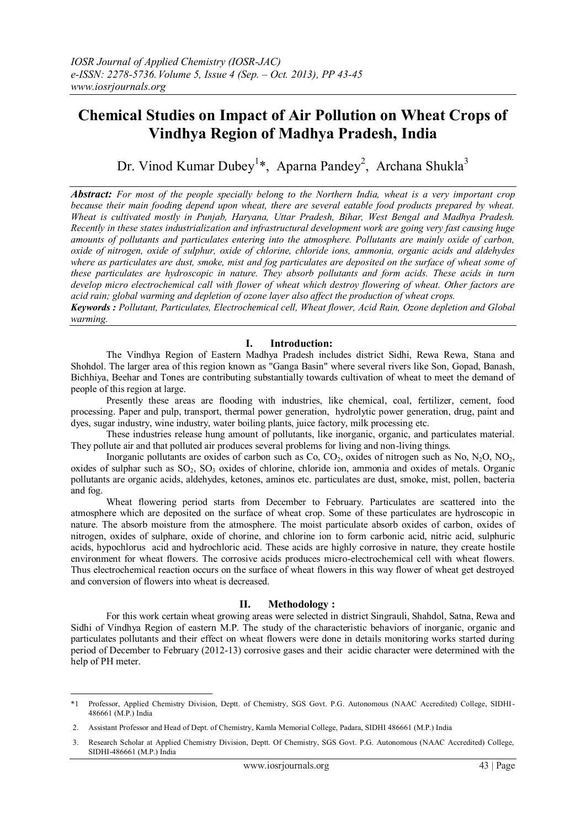# **Chemical Studies on Impact of Air Pollution on Wheat Crops of Vindhya Region of Madhya Pradesh, India**

Dr. Vinod Kumar Dubey<sup>1</sup>\*, Aparna Pandey<sup>2</sup>, Archana Shukla<sup>3</sup>

*Abstract: For most of the people specially belong to the Northern India, wheat is a very important crop because their main fooding depend upon wheat, there are several eatable food products prepared by wheat. Wheat is cultivated mostly in Punjab, Haryana, Uttar Pradesh, Bihar, West Bengal and Madhya Pradesh. Recently in these states industrialization and infrastructural development work are going very fast causing huge amounts of pollutants and particulates entering into the atmosphere. Pollutants are mainly oxide of carbon, oxide of nitrogen, oxide of sulphur, oxide of chlorine, chloride ions, ammonia, organic acids and aldehydes where as particulates are dust, smoke, mist and fog particulates are deposited on the surface of wheat some of these particulates are hydroscopic in nature. They absorb pollutants and form acids. These acids in turn develop micro electrochemical call with flower of wheat which destroy flowering of wheat. Other factors are acid rain; global warming and depletion of ozone layer also affect the production of wheat crops.* 

*Keywords : Pollutant, Particulates, Electrochemical cell, Wheat flower, Acid Rain, Ozone depletion and Global warming.* 

## **I. Introduction:**

The Vindhya Region of Eastern Madhya Pradesh includes district Sidhi, Rewa Rewa, Stana and Shohdol. The larger area of this region known as "Ganga Basin" where several rivers like Son, Gopad, Banash, Bichhiya, Beehar and Tones are contributing substantially towards cultivation of wheat to meet the demand of people of this region at large.

Presently these areas are flooding with industries, like chemical, coal, fertilizer, cement, food processing. Paper and pulp, transport, thermal power generation, hydrolytic power generation, drug, paint and dyes, sugar industry, wine industry, water boiling plants, juice factory, milk processing etc.

These industries release hung amount of pollutants, like inorganic, organic, and particulates material. They pollute air and that polluted air produces several problems for living and non-living things.

Inorganic pollutants are oxides of carbon such as  $Co, CO_2$ , oxides of nitrogen such as No, N<sub>2</sub>O, NO<sub>2</sub>, oxides of sulphar such as  $SO_2$ ,  $SO_3$  oxides of chlorine, chloride ion, ammonia and oxides of metals. Organic pollutants are organic acids, aldehydes, ketones, aminos etc. particulates are dust, smoke, mist, pollen, bacteria and fog.

Wheat flowering period starts from December to February. Particulates are scattered into the atmosphere which are deposited on the surface of wheat crop. Some of these particulates are hydroscopic in nature. The absorb moisture from the atmosphere. The moist particulate absorb oxides of carbon, oxides of nitrogen, oxides of sulphare, oxide of chorine, and chlorine ion to form carbonic acid, nitric acid, sulphuric acids, hypochlorus acid and hydrochloric acid. These acids are highly corrosive in nature, they create hostile environment for wheat flowers. The corrosive acids produces micro-electrochemical cell with wheat flowers. Thus electrochemical reaction occurs on the surface of wheat flowers in this way flower of wheat get destroyed and conversion of flowers into wheat is decreased.

### **II. Methodology :**

For this work certain wheat growing areas were selected in district Singrauli, Shahdol, Satna, Rewa and Sidhi of Vindhya Region of eastern M.P. The study of the characteristic behaviors of inorganic, organic and particulates pollutants and their effect on wheat flowers were done in details monitoring works started during period of December to February (2012-13) corrosive gases and their acidic character were determined with the help of PH meter.

<sup>&</sup>lt;u>.</u> \*1 Professor, Applied Chemistry Division, Deptt. of Chemistry, SGS Govt. P.G. Autonomous (NAAC Accredited) College, SIDHI-486661 (M.P.) India

<sup>2.</sup> Assistant Professor and Head of Dept. of Chemistry, Kamla Memorial College, Padara, SIDHI 486661 (M.P.) India

<sup>3.</sup> Research Scholar at Applied Chemistry Division, Deptt. Of Chemistry, SGS Govt. P.G. Autonomous (NAAC Accredited) College, SIDHI-486661 (M.P.) India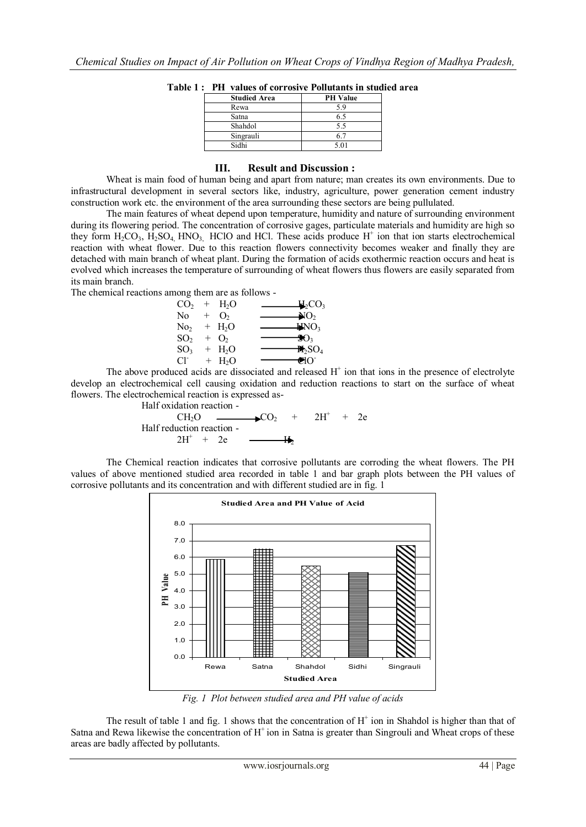| <b>Studied Area</b> | <b>PH</b> Value |
|---------------------|-----------------|
| Rewa                | 59              |
| Satna               | 6.5             |
| Shahdol             | 5.5             |
| Singrauli           | 61              |
| Sidhi               | 5.01            |

**Table 1 : PH values of corrosive Pollutants in studied area** 

### **III. Result and Discussion :**

Wheat is main food of human being and apart from nature; man creates its own environments. Due to infrastructural development in several sectors like, industry, agriculture, power generation cement industry construction work etc. the environment of the area surrounding these sectors are being pullulated.

The main features of wheat depend upon temperature, humidity and nature of surrounding environment during its flowering period. The concentration of corrosive gages, particulate materials and humidity are high so they form  $H_2CO_3$ ,  $H_2SO_4$ , HNO<sub>3</sub>, HClO and HCl. These acids produce  $H^+$  ion that ion starts electrochemical reaction with wheat flower. Due to this reaction flowers connectivity becomes weaker and finally they are detached with main branch of wheat plant. During the formation of acids exothermic reaction occurs and heat is evolved which increases the temperature of surrounding of wheat flowers thus flowers are easily separated from its main branch.

The chemical reactions among them are as follows -

$$
CO_{2} + H_{2}O
$$
\n
$$
NO_{2} + H_{2}O
$$
\n
$$
NO_{2} + H_{2}O
$$
\n
$$
SO_{2} + H_{2}O
$$
\n
$$
SO_{2} + O_{2}
$$
\n
$$
SO_{3} + H_{2}O
$$
\n
$$
CO_{3} + H_{2}O
$$
\n
$$
SO_{3} + H_{2}O
$$
\n
$$
Cl^{-} + H_{2}O
$$
\n
$$
Cl^{-} + H_{2}O
$$

The above produced acids are dissociated and released  $H^+$  ion that ions in the presence of electrolyte develop an electrochemical cell causing oxidation and reduction reactions to start on the surface of wheat flowers. The electrochemical reaction is expressed as-

Half oxidation reaction -  
\n
$$
CH_2O
$$
  $CO_2$  +  $2H^+$  +  $2e$   
\nHalf reduction reaction -  
\n $2H^+$  +  $2e$   $CP$ 

The Chemical reaction indicates that corrosive pollutants are corroding the wheat flowers. The PH values of above mentioned studied area recorded in table 1 and bar graph plots between the PH values of corrosive pollutants and its concentration and with different studied are in fig. 1



*Fig. 1 Plot between studied area and PH value of acids*

The result of table 1 and fig. 1 shows that the concentration of  $H^+$  ion in Shahdol is higher than that of Satna and Rewa likewise the concentration of  $H^+$ ion in Satna is greater than Singrouli and Wheat crops of these areas are badly affected by pollutants.